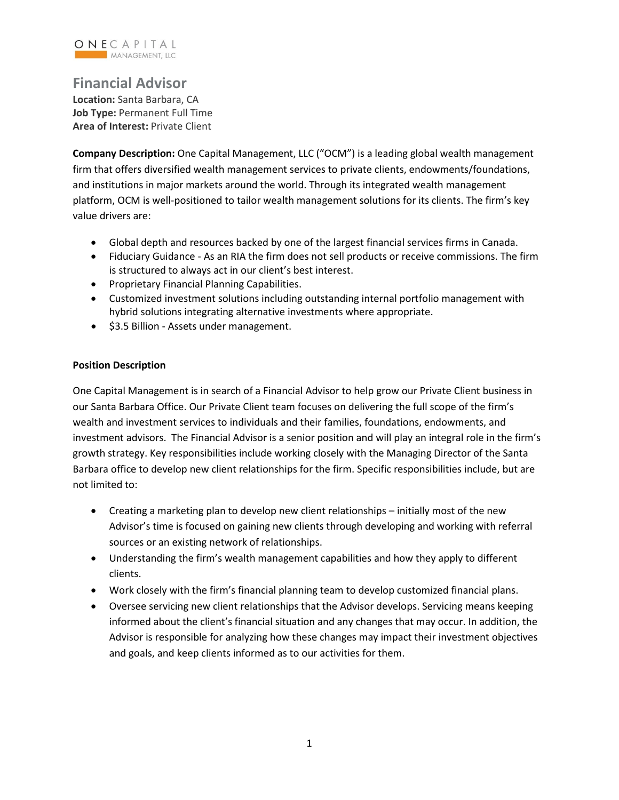

## **Financial Advisor**

**Location:** Santa Barbara, CA **Job Type:** Permanent Full Time **Area of Interest:** Private Client

**Company Description:** One Capital Management, LLC ("OCM") is a leading global wealth management firm that offers diversified wealth management services to private clients, endowments/foundations, and institutions in major markets around the world. Through its integrated wealth management platform, OCM is well-positioned to tailor wealth management solutions for its clients. The firm's key value drivers are:

- Global depth and resources backed by one of the largest financial services firms in Canada.
- Fiduciary Guidance As an RIA the firm does not sell products or receive commissions. The firm is structured to always act in our client's best interest.
- Proprietary Financial Planning Capabilities.
- Customized investment solutions including outstanding internal portfolio management with hybrid solutions integrating alternative investments where appropriate.
- \$3.5 Billion Assets under management.

## **Position Description**

One Capital Management is in search of a Financial Advisor to help grow our Private Client business in our Santa Barbara Office. Our Private Client team focuses on delivering the full scope of the firm's wealth and investment services to individuals and their families, foundations, endowments, and investment advisors. The Financial Advisor is a senior position and will play an integral role in the firm's growth strategy. Key responsibilities include working closely with the Managing Director of the Santa Barbara office to develop new client relationships for the firm. Specific responsibilities include, but are not limited to:

- Creating a marketing plan to develop new client relationships initially most of the new Advisor's time is focused on gaining new clients through developing and working with referral sources or an existing network of relationships.
- Understanding the firm's wealth management capabilities and how they apply to different clients.
- Work closely with the firm's financial planning team to develop customized financial plans.
- Oversee servicing new client relationships that the Advisor develops. Servicing means keeping informed about the client's financial situation and any changes that may occur. In addition, the Advisor is responsible for analyzing how these changes may impact their investment objectives and goals, and keep clients informed as to our activities for them.